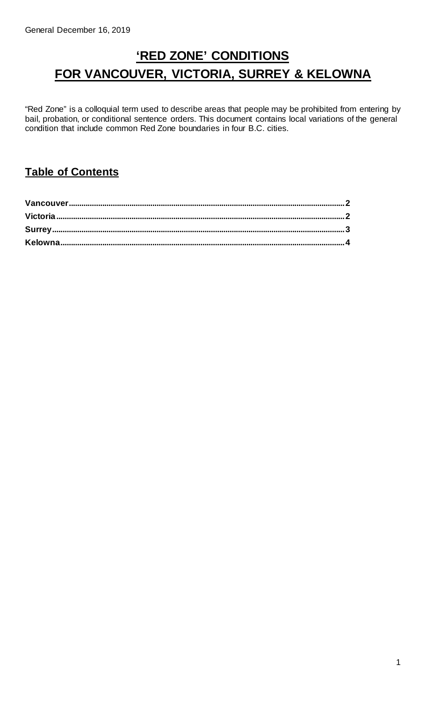# **'RED ZONE' CONDITIONS FOR VANCOUVER, VICTORIA, SURREY & KELOWNA**

"Red Zone" is a colloquial term used to describe areas that people may be prohibited from entering by bail, probation, or conditional sentence orders. This document contains local variations of the general condition that include common Red Zone boundaries in four B.C. cities.

#### **Table of Contents**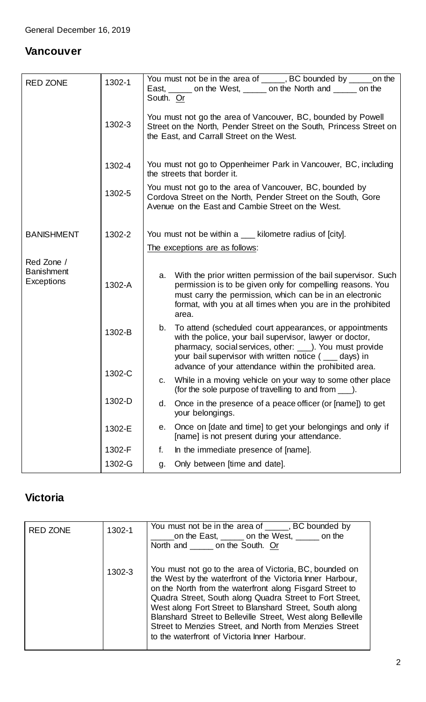#### <span id="page-1-0"></span>**Vancouver**

| <b>RED ZONE</b>                               | 1302-1 | You must not be in the area of ______, BC bounded by ______ on the<br>East, ______ on the West, _____ on the North and _____ on the<br>South. Or                                                                                                                                                              |  |  |  |
|-----------------------------------------------|--------|---------------------------------------------------------------------------------------------------------------------------------------------------------------------------------------------------------------------------------------------------------------------------------------------------------------|--|--|--|
|                                               | 1302-3 | You must not go the area of Vancouver, BC, bounded by Powell<br>Street on the North, Pender Street on the South, Princess Street on<br>the East, and Carrall Street on the West.                                                                                                                              |  |  |  |
|                                               | 1302-4 | You must not go to Oppenheimer Park in Vancouver, BC, including<br>the streets that border it.                                                                                                                                                                                                                |  |  |  |
|                                               | 1302-5 | You must not go to the area of Vancouver, BC, bounded by<br>Cordova Street on the North, Pender Street on the South, Gore<br>Avenue on the East and Cambie Street on the West.                                                                                                                                |  |  |  |
| <b>BANISHMENT</b>                             | 1302-2 | You must not be within a ___ kilometre radius of [city].                                                                                                                                                                                                                                                      |  |  |  |
|                                               |        | The exceptions are as follows:                                                                                                                                                                                                                                                                                |  |  |  |
| Red Zone /<br><b>Banishment</b><br>Exceptions | 1302-A | With the prior written permission of the bail supervisor. Such<br>a.<br>permission is to be given only for compelling reasons. You<br>must carry the permission, which can be in an electronic<br>format, with you at all times when you are in the prohibited<br>area.                                       |  |  |  |
|                                               | 1302-B | To attend (scheduled court appearances, or appointments<br>b.<br>with the police, your bail supervisor, lawyer or doctor,<br>pharmacy, social services, other: ____). You must provide<br>your bail supervisor with written notice $($ ___ days) in<br>advance of your attendance within the prohibited area. |  |  |  |
|                                               | 1302-C | While in a moving vehicle on your way to some other place<br>C.<br>(for the sole purpose of travelling to and from ___).                                                                                                                                                                                      |  |  |  |
|                                               | 1302-D | Once in the presence of a peace officer (or [name]) to get<br>d.<br>your belongings.                                                                                                                                                                                                                          |  |  |  |
|                                               | 1302-E | Once on [date and time] to get your belongings and only if<br>е.<br>[name] is not present during your attendance.                                                                                                                                                                                             |  |  |  |
|                                               | 1302-F | In the immediate presence of [name].<br>f.                                                                                                                                                                                                                                                                    |  |  |  |
|                                               | 1302-G | Only between [time and date].<br>g.                                                                                                                                                                                                                                                                           |  |  |  |

### <span id="page-1-1"></span>**Victoria**

| <b>RED ZONE</b> | 1302-1 | You must not be in the area of _____, BC bounded by<br>on the East, on the West, on the<br>North and ______ on the South. Or                                                                                                                                                                                                                                                                                                                                                       |
|-----------------|--------|------------------------------------------------------------------------------------------------------------------------------------------------------------------------------------------------------------------------------------------------------------------------------------------------------------------------------------------------------------------------------------------------------------------------------------------------------------------------------------|
|                 | 1302-3 | You must not go to the area of Victoria, BC, bounded on<br>the West by the waterfront of the Victoria Inner Harbour,<br>on the North from the waterfront along Fisgard Street to<br>Quadra Street, South along Quadra Street to Fort Street,<br>West along Fort Street to Blanshard Street, South along<br>Blanshard Street to Belleville Street, West along Belleville<br>Street to Menzies Street, and North from Menzies Street<br>to the waterfront of Victoria Inner Harbour. |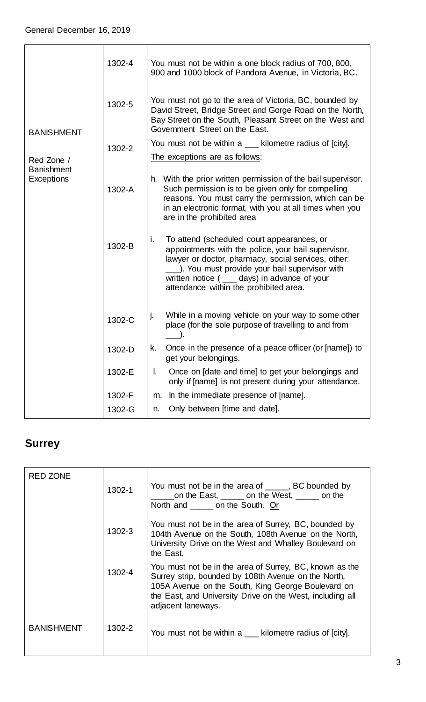| <b>BANISHMENT</b>               | 1302-4 | You must not be within a one block radius of 700, 800,<br>900 and 1000 block of Pandora Avenue, in Victoria, BC.                                                                                                                                                                                              |  |  |  |
|---------------------------------|--------|---------------------------------------------------------------------------------------------------------------------------------------------------------------------------------------------------------------------------------------------------------------------------------------------------------------|--|--|--|
|                                 | 1302-5 | You must not go to the area of Victoria, BC, bounded by<br>David Street, Bridge Street and Gorge Road on the North,<br>Bay Street on the South, Pleasant Street on the West and<br>Government Street on the East.                                                                                             |  |  |  |
|                                 | 1302-2 | You must not be within a ____ kilometre radius of [city].                                                                                                                                                                                                                                                     |  |  |  |
| Red Zone /                      |        | The exceptions are as follows:                                                                                                                                                                                                                                                                                |  |  |  |
| <b>Banishment</b><br>Exceptions | 1302-A | h. With the prior written permission of the bail supervisor.<br>Such permission is to be given only for compelling<br>reasons. You must carry the permission, which can be<br>in an electronic format, with you at all times when you<br>are in the prohibited area                                           |  |  |  |
|                                 | 1302-B | To attend (scheduled court appearances, or<br>i.<br>appointments with the police, your bail supervisor,<br>lawyer or doctor, pharmacy, social services, other:<br>). You must provide your bail supervisor with<br>written notice $($ ____ days) in advance of your<br>attendance within the prohibited area. |  |  |  |
|                                 | 1302-C | While in a moving vehicle on your way to some other<br>j.<br>place (for the sole purpose of travelling to and from                                                                                                                                                                                            |  |  |  |
|                                 | 1302-D | Once in the presence of a peace officer (or [name]) to<br>k.<br>get your belongings.                                                                                                                                                                                                                          |  |  |  |
|                                 | 1302-E | I.<br>Once on [date and time] to get your belongings and<br>only if [name] is not present during your attendance.                                                                                                                                                                                             |  |  |  |
|                                 | 1302-F | In the immediate presence of [name].<br>m.                                                                                                                                                                                                                                                                    |  |  |  |
|                                 | 1302-G | Only between [time and date].<br>n.                                                                                                                                                                                                                                                                           |  |  |  |

## <span id="page-2-0"></span>**Surrey**

| <b>RED ZONE</b>   | 1302-1 | You must not be in the area of _____, BC bounded by<br>on the East, on the West, on the<br>North and ______ on the South. Or                                                                                                                            |
|-------------------|--------|---------------------------------------------------------------------------------------------------------------------------------------------------------------------------------------------------------------------------------------------------------|
|                   | 1302-3 | You must not be in the area of Surrey, BC, bounded by<br>104th Avenue on the South, 108th Avenue on the North,<br>University Drive on the West and Whalley Boulevard on<br>the East.                                                                    |
|                   | 1302-4 | You must not be in the area of Surrey, BC, known as the<br>Surrey strip, bounded by 108th Avenue on the North,<br>105A Avenue on the South, King George Boulevard on<br>the East, and University Drive on the West, including all<br>adjacent laneways. |
| <b>BANISHMENT</b> | 1302-2 | You must not be within a ___ kilometre radius of [city].                                                                                                                                                                                                |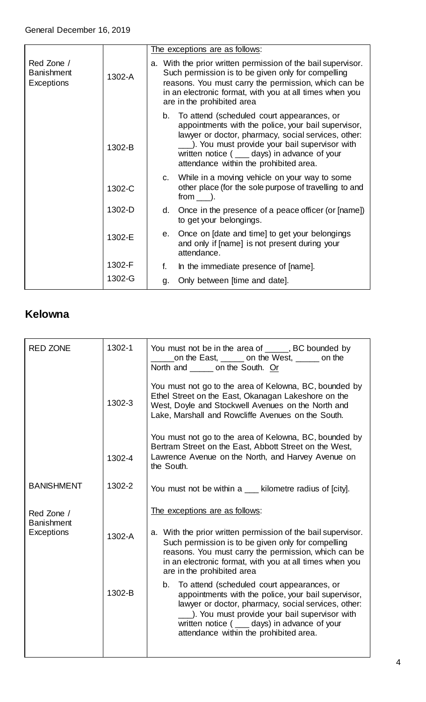|                                               |        | The exceptions are as follows:                                                                                                                                                                                                                                                                              |  |  |
|-----------------------------------------------|--------|-------------------------------------------------------------------------------------------------------------------------------------------------------------------------------------------------------------------------------------------------------------------------------------------------------------|--|--|
| Red Zone /<br><b>Banishment</b><br>Exceptions | 1302-A | a. With the prior written permission of the bail supervisor.<br>Such permission is to be given only for compelling<br>reasons. You must carry the permission, which can be<br>in an electronic format, with you at all times when you<br>are in the prohibited area                                         |  |  |
|                                               | 1302-B | To attend (scheduled court appearances, or<br>b.<br>appointments with the police, your bail supervisor,<br>lawyer or doctor, pharmacy, social services, other:<br>_). You must provide your bail supervisor with<br>written notice ( ___ days) in advance of your<br>attendance within the prohibited area. |  |  |
|                                               | 1302-C | c. While in a moving vehicle on your way to some<br>other place (for the sole purpose of travelling to and<br>$from$ $)$ .                                                                                                                                                                                  |  |  |
|                                               | 1302-D | Once in the presence of a peace officer (or [name])<br>d.<br>to get your belongings.                                                                                                                                                                                                                        |  |  |
|                                               | 1302-E | Once on [date and time] to get your belongings<br>e.<br>and only if [name] is not present during your<br>attendance.                                                                                                                                                                                        |  |  |
|                                               | 1302-F | In the immediate presence of [name].<br>f.                                                                                                                                                                                                                                                                  |  |  |
|                                               | 1302-G | Only between [time and date].<br>g.                                                                                                                                                                                                                                                                         |  |  |

#### <span id="page-3-0"></span>**Kelowna**

| <b>RED ZONE</b>                 | 1302-1 | You must not be in the area of _____, BC bounded by<br>on the East, on the West, on the<br>North and on the South. Or                                                                                                                                                                                     |  |  |
|---------------------------------|--------|-----------------------------------------------------------------------------------------------------------------------------------------------------------------------------------------------------------------------------------------------------------------------------------------------------------|--|--|
|                                 | 1302-3 | You must not go to the area of Kelowna, BC, bounded by<br>Ethel Street on the East, Okanagan Lakeshore on the<br>West, Doyle and Stockwell Avenues on the North and<br>Lake, Marshall and Rowcliffe Avenues on the South.                                                                                 |  |  |
|                                 | 1302-4 | You must not go to the area of Kelowna, BC, bounded by<br>Bertram Street on the East, Abbott Street on the West,<br>Lawrence Avenue on the North, and Harvey Avenue on<br>the South.                                                                                                                      |  |  |
| <b>BANISHMENT</b>               | 1302-2 | You must not be within a ___ kilometre radius of [city].                                                                                                                                                                                                                                                  |  |  |
| Red Zone /                      |        | The exceptions are as follows:                                                                                                                                                                                                                                                                            |  |  |
| <b>Banishment</b><br>Exceptions | 1302-A | a. With the prior written permission of the bail supervisor.<br>Such permission is to be given only for compelling<br>reasons. You must carry the permission, which can be<br>in an electronic format, with you at all times when you<br>are in the prohibited area                                       |  |  |
|                                 | 1302-B | b. To attend (scheduled court appearances, or<br>appointments with the police, your bail supervisor,<br>lawyer or doctor, pharmacy, social services, other:<br>_). You must provide your bail supervisor with<br>written notice ( ____ days) in advance of your<br>attendance within the prohibited area. |  |  |
|                                 |        |                                                                                                                                                                                                                                                                                                           |  |  |